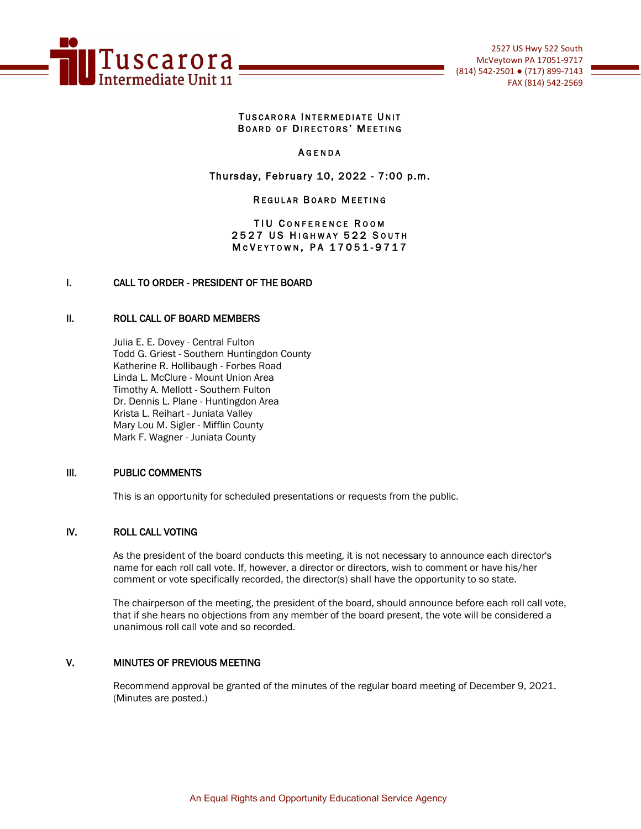

#### TUSCARORA INTERMEDIATE UNIT BOARD OF DIRECTORS' MEETING

#### **AGENDA**

### Thursday, February 10, 2022 - 7:00 p.m.

#### **REGULAR BOARD MEETING**

#### TIU CONFERENCE ROOM 2527 US HIGHWAY 522 SOUTH M c V E Y T O W N, P A 17051-9717

### I. CALL TO ORDER - PRESIDENT OF THE BOARD

#### II. ROLL CALL OF BOARD MEMBERS

Julia E. E. Dovey - Central Fulton Todd G. Griest - Southern Huntingdon County Katherine R. Hollibaugh - Forbes Road Linda L. McClure - Mount Union Area Timothy A. Mellott - Southern Fulton Dr. Dennis L. Plane - Huntingdon Area Krista L. Reihart - Juniata Valley Mary Lou M. Sigler - Mifflin County Mark F. Wagner - Juniata County

#### III. PUBLIC COMMENTS

This is an opportunity for scheduled presentations or requests from the public.

#### IV. ROLL CALL VOTING

As the president of the board conducts this meeting, it is not necessary to announce each director's name for each roll call vote. If, however, a director or directors, wish to comment or have his/her comment or vote specifically recorded, the director(s) shall have the opportunity to so state.

The chairperson of the meeting, the president of the board, should announce before each roll call vote, that if she hears no objections from any member of the board present, the vote will be considered a unanimous roll call vote and so recorded.

## V. MINUTES OF PREVIOUS MEETING

Recommend approval be granted of the minutes of the regular board meeting of December 9, 2021. (Minutes are posted.)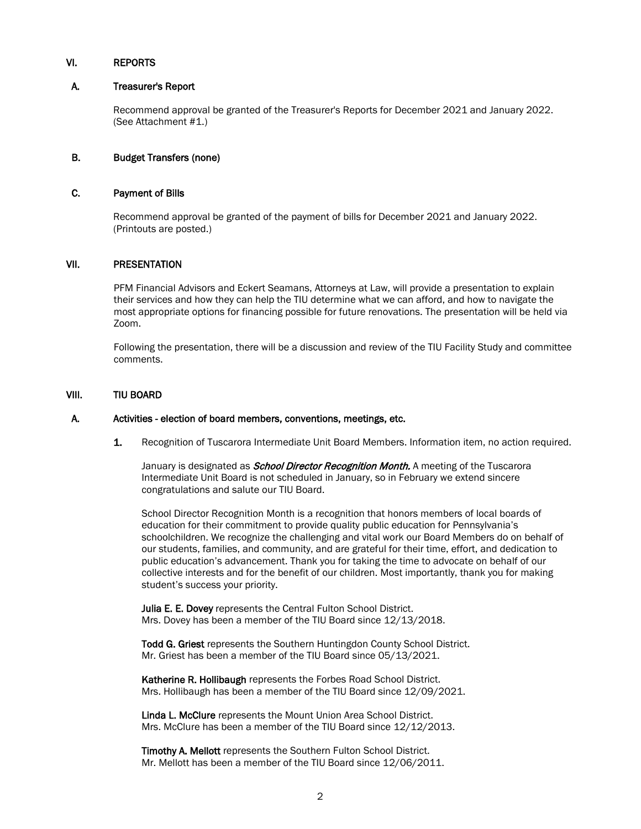#### VI. REPORTS

#### A. Treasurer's Report

 Recommend approval be granted of the Treasurer's Reports for December 2021 and January 2022. (See Attachment #1.)

#### B. Budget Transfers (none)

#### C. Payment of Bills

 Recommend approval be granted of the payment of bills for December 2021 and January 2022. (Printouts are posted.)

#### VII. PRESENTATION

PFM Financial Advisors and Eckert Seamans, Attorneys at Law, will provide a presentation to explain their services and how they can help the TIU determine what we can afford, and how to navigate the most appropriate options for financing possible for future renovations. The presentation will be held via Zoom.

Following the presentation, there will be a discussion and review of the TIU Facility Study and committee comments.

#### VIII. TIU BOARD

#### A. Activities - election of board members, conventions, meetings, etc.

1. Recognition of Tuscarora Intermediate Unit Board Members. Information item, no action required.

January is designated as *School Director Recognition Month.* A meeting of the Tuscarora Intermediate Unit Board is not scheduled in January, so in February we extend sincere congratulations and salute our TIU Board.

School Director Recognition Month is a recognition that honors members of local boards of education for their commitment to provide quality public education for Pennsylvania's schoolchildren. We recognize the challenging and vital work our Board Members do on behalf of our students, families, and community, and are grateful for their time, effort, and dedication to public education's advancement. Thank you for taking the time to advocate on behalf of our collective interests and for the benefit of our children. Most importantly, thank you for making student's success your priority.

Julia E. E. Dovey represents the Central Fulton School District. Mrs. Dovey has been a member of the TIU Board since 12/13/2018.

Todd G. Griest represents the Southern Huntingdon County School District. Mr. Griest has been a member of the TIU Board since 05/13/2021.

Katherine R. Hollibaugh represents the Forbes Road School District. Mrs. Hollibaugh has been a member of the TIU Board since 12/09/2021.

Linda L. McClure represents the Mount Union Area School District. Mrs. McClure has been a member of the TIU Board since 12/12/2013.

Timothy A. Mellott represents the Southern Fulton School District. Mr. Mellott has been a member of the TIU Board since 12/06/2011.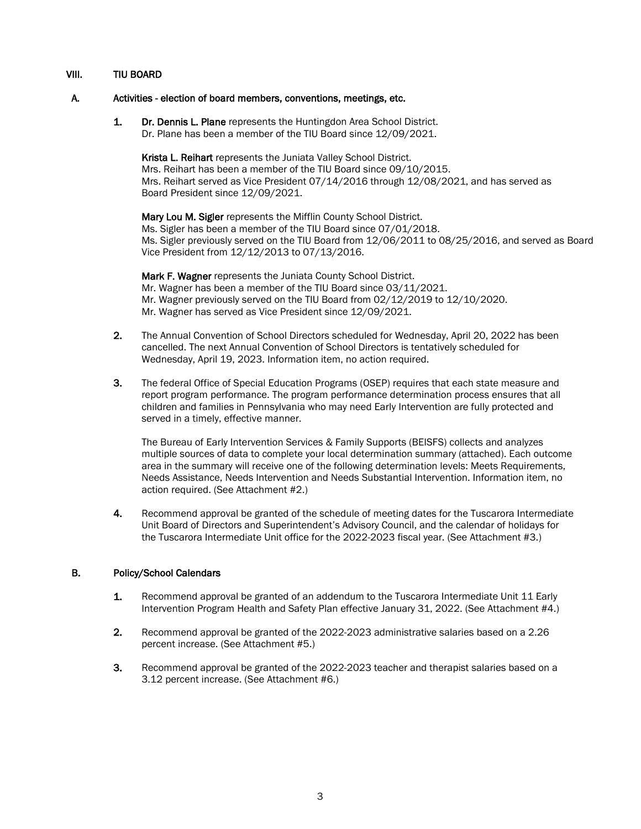### VIII. TIU BOARD

#### A. Activities - election of board members, conventions, meetings, etc.

1. Dr. Dennis L. Plane represents the Huntingdon Area School District. Dr. Plane has been a member of the TIU Board since 12/09/2021.

Krista L. Reihart represents the Juniata Valley School District. Mrs. Reihart has been a member of the TIU Board since 09/10/2015. Mrs. Reihart served as Vice President 07/14/2016 through 12/08/2021, and has served as Board President since 12/09/2021.

Mary Lou M. Sigler represents the Mifflin County School District. Ms. Sigler has been a member of the TIU Board since 07/01/2018. Ms. Sigler previously served on the TIU Board from 12/06/2011 to 08/25/2016, and served as Board Vice President from 12/12/2013 to 07/13/2016.

Mark F. Wagner represents the Juniata County School District. Mr. Wagner has been a member of the TIU Board since 03/11/2021. Mr. Wagner previously served on the TIU Board from 02/12/2019 to 12/10/2020. Mr. Wagner has served as Vice President since 12/09/2021.

- 2. The Annual Convention of School Directors scheduled for Wednesday, April 20, 2022 has been cancelled. The next Annual Convention of School Directors is tentatively scheduled for Wednesday, April 19, 2023. Information item, no action required.
- 3. The federal Office of Special Education Programs (OSEP) requires that each state measure and report program performance. The program performance determination process ensures that all children and families in Pennsylvania who may need Early Intervention are fully protected and served in a timely, effective manner.

The Bureau of Early Intervention Services & Family Supports (BEISFS) collects and analyzes multiple sources of data to complete your local determination summary (attached). Each outcome area in the summary will receive one of the following determination levels: Meets Requirements, Needs Assistance, Needs Intervention and Needs Substantial Intervention. Information item, no action required. (See Attachment #2.)

4. Recommend approval be granted of the schedule of meeting dates for the Tuscarora Intermediate Unit Board of Directors and Superintendent's Advisory Council, and the calendar of holidays for the Tuscarora Intermediate Unit office for the 2022-2023 fiscal year. (See Attachment #3.)

#### B. Policy/School Calendars

- 1. Recommend approval be granted of an addendum to the Tuscarora Intermediate Unit 11 Early Intervention Program Health and Safety Plan effective January 31, 2022. (See Attachment #4.)
- 2. Recommend approval be granted of the 2022-2023 administrative salaries based on a 2.26 percent increase. (See Attachment #5.)
- 3. Recommend approval be granted of the 2022-2023 teacher and therapist salaries based on a 3.12 percent increase. (See Attachment #6.)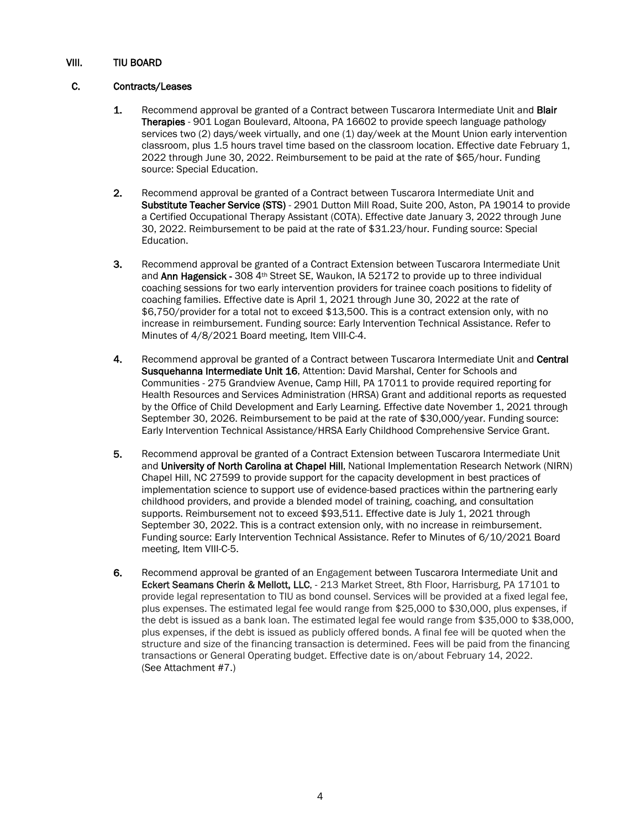### VIII. TIU BOARD

### C. Contracts/Leases

- 1. Recommend approval be granted of a Contract between Tuscarora Intermediate Unit and Blair Therapies - 901 Logan Boulevard, Altoona, PA 16602 to provide speech language pathology services two (2) days/week virtually, and one (1) day/week at the Mount Union early intervention classroom, plus 1.5 hours travel time based on the classroom location. Effective date February 1, 2022 through June 30, 2022. Reimbursement to be paid at the rate of \$65/hour. Funding source: Special Education.
- 2. Recommend approval be granted of a Contract between Tuscarora Intermediate Unit and Substitute Teacher Service (STS) - 2901 Dutton Mill Road, Suite 200, Aston, PA 19014 to provide a Certified Occupational Therapy Assistant (COTA). Effective date January 3, 2022 through June 30, 2022. Reimbursement to be paid at the rate of \$31.23/hour. Funding source: Special Education.
- 3. Recommend approval be granted of a Contract Extension between Tuscarora Intermediate Unit and Ann Hagensick - 308 4<sup>th</sup> Street SE, Waukon, IA 52172 to provide up to three individual coaching sessions for two early intervention providers for trainee coach positions to fidelity of coaching families. Effective date is April 1, 2021 through June 30, 2022 at the rate of \$6,750/provider for a total not to exceed \$13,500. This is a contract extension only, with no increase in reimbursement. Funding source: Early Intervention Technical Assistance. Refer to Minutes of 4/8/2021 Board meeting, Item VIII-C-4.
- 4. Recommend approval be granted of a Contract between Tuscarora Intermediate Unit and Central Susquehanna Intermediate Unit 16, Attention: David Marshal, Center for Schools and Communities - 275 Grandview Avenue, Camp Hill, PA 17011 to provide required reporting for Health Resources and Services Administration (HRSA) Grant and additional reports as requested by the Office of Child Development and Early Learning. Effective date November 1, 2021 through September 30, 2026. Reimbursement to be paid at the rate of \$30,000/year. Funding source: Early Intervention Technical Assistance/HRSA Early Childhood Comprehensive Service Grant.
- 5. Recommend approval be granted of a Contract Extension between Tuscarora Intermediate Unit and University of North Carolina at Chapel Hill, National Implementation Research Network (NIRN) Chapel Hill, NC 27599 to provide support for the capacity development in best practices of implementation science to support use of evidence-based practices within the partnering early childhood providers, and provide a blended model of training, coaching, and consultation supports. Reimbursement not to exceed \$93,511. Effective date is July 1, 2021 through September 30, 2022. This is a contract extension only, with no increase in reimbursement. Funding source: Early Intervention Technical Assistance. Refer to Minutes of 6/10/2021 Board meeting, Item VIII-C-5.
- 6. Recommend approval be granted of an Engagement between Tuscarora Intermediate Unit and Eckert Seamans Cherin & Mellott, LLC, - 213 Market Street, 8th Floor, Harrisburg, PA 17101 to provide legal representation to TIU as bond counsel. Services will be provided at a fixed legal fee, plus expenses. The estimated legal fee would range from \$25,000 to \$30,000, plus expenses, if the debt is issued as a bank loan. The estimated legal fee would range from \$35,000 to \$38,000, plus expenses, if the debt is issued as publicly offered bonds. A final fee will be quoted when the structure and size of the financing transaction is determined. Fees will be paid from the financing transactions or General Operating budget. Effective date is on/about February 14, 2022. (See Attachment #7.)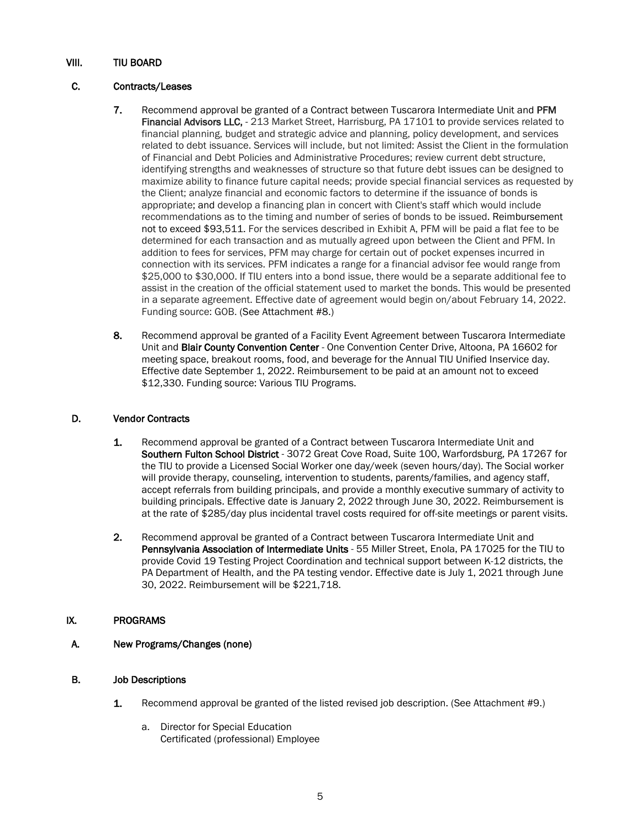## VIII. TIU BOARD

### C. Contracts/Leases

- 7. Recommend approval be granted of a Contract between Tuscarora Intermediate Unit and PFM Financial Advisors LLC, - 213 Market Street, Harrisburg, PA 17101 to provide services related to financial planning, budget and strategic advice and planning, policy development, and services related to debt issuance. Services will include, but not limited: Assist the Client in the formulation of Financial and Debt Policies and Administrative Procedures; review current debt structure, identifying strengths and weaknesses of structure so that future debt issues can be designed to maximize ability to finance future capital needs; provide special financial services as requested by the Client; analyze financial and economic factors to determine if the issuance of bonds is appropriate; and develop a financing plan in concert with Client's staff which would include recommendations as to the timing and number of series of bonds to be issued. Reimbursement not to exceed \$93,511. For the services described in Exhibit A, PFM will be paid a flat fee to be determined for each transaction and as mutually agreed upon between the Client and PFM. In addition to fees for services, PFM may charge for certain out of pocket expenses incurred in connection with its services. PFM indicates a range for a financial advisor fee would range from \$25,000 to \$30,000. If TIU enters into a bond issue, there would be a separate additional fee to assist in the creation of the official statement used to market the bonds. This would be presented in a separate agreement. Effective date of agreement would begin on/about February 14, 2022. Funding source: GOB. (See Attachment #8.)
- 8. Recommend approval be granted of a Facility Event Agreement between Tuscarora Intermediate Unit and Blair County Convention Center - One Convention Center Drive, Altoona, PA 16602 for meeting space, breakout rooms, food, and beverage for the Annual TIU Unified Inservice day. Effective date September 1, 2022. Reimbursement to be paid at an amount not to exceed \$12,330. Funding source: Various TIU Programs.

#### D. Vendor Contracts

- 1. Recommend approval be granted of a Contract between Tuscarora Intermediate Unit and Southern Fulton School District - 3072 Great Cove Road, Suite 100, Warfordsburg, PA 17267 for the TIU to provide a Licensed Social Worker one day/week (seven hours/day). The Social worker will provide therapy, counseling, intervention to students, parents/families, and agency staff, accept referrals from building principals, and provide a monthly executive summary of activity to building principals. Effective date is January 2, 2022 through June 30, 2022. Reimbursement is at the rate of \$285/day plus incidental travel costs required for off-site meetings or parent visits.
- 2. Recommend approval be granted of a Contract between Tuscarora Intermediate Unit and Pennsylvania Association of Intermediate Units - 55 Miller Street, Enola, PA 17025 for the TIU to provide Covid 19 Testing Project Coordination and technical support between K-12 districts, the PA Department of Health, and the PA testing vendor. Effective date is July 1, 2021 through June 30, 2022. Reimbursement will be \$221,718.

#### IX. PROGRAMS

A. New Programs/Changes (none)

## B. Job Descriptions

- 1. Recommend approval be granted of the listed revised job description. (See Attachment #9.)
	- a. Director for Special Education Certificated (professional) Employee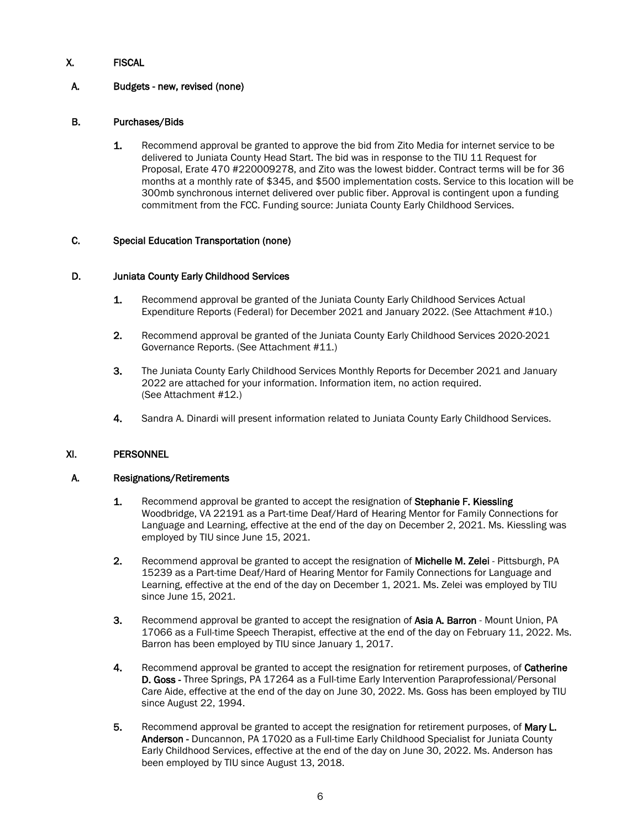# X. FISCAL

## A. Budgets - new, revised (none)

### B. Purchases/Bids

1. Recommend approval be granted to approve the bid from Zito Media for internet service to be delivered to Juniata County Head Start. The bid was in response to the TIU 11 Request for Proposal, Erate 470 #220009278, and Zito was the lowest bidder. Contract terms will be for 36 months at a monthly rate of \$345, and \$500 implementation costs. Service to this location will be 300mb synchronous internet delivered over public fiber. Approval is contingent upon a funding commitment from the FCC. Funding source: Juniata County Early Childhood Services.

#### C. Special Education Transportation (none)

#### D. Juniata County Early Childhood Services

- 1. Recommend approval be granted of the Juniata County Early Childhood Services Actual Expenditure Reports (Federal) for December 2021 and January 2022. (See Attachment #10.)
- 2. Recommend approval be granted of the Juniata County Early Childhood Services 2020-2021 Governance Reports. (See Attachment #11.)
- 3. The Juniata County Early Childhood Services Monthly Reports for December 2021 and January 2022 are attached for your information. Information item, no action required. (See Attachment #12.)
- 4. Sandra A. Dinardi will present information related to Juniata County Early Childhood Services.

### XI. PERSONNEL

#### A. Resignations/Retirements

- 1. Recommend approval be granted to accept the resignation of Stephanie F. Kiessling Woodbridge, VA 22191 as a Part-time Deaf/Hard of Hearing Mentor for Family Connections for Language and Learning, effective at the end of the day on December 2, 2021. Ms. Kiessling was employed by TIU since June 15, 2021.
- 2. Recommend approval be granted to accept the resignation of **Michelle M. Zelei** Pittsburgh, PA 15239 as a Part-time Deaf/Hard of Hearing Mentor for Family Connections for Language and Learning, effective at the end of the day on December 1, 2021. Ms. Zelei was employed by TIU since June 15, 2021.
- 3. Recommend approval be granted to accept the resignation of Asia A. Barron Mount Union, PA 17066 as a Full-time Speech Therapist, effective at the end of the day on February 11, 2022. Ms. Barron has been employed by TIU since January 1, 2017.
- 4. Recommend approval be granted to accept the resignation for retirement purposes, of Catherine D. Goss - Three Springs, PA 17264 as a Full-time Early Intervention Paraprofessional/Personal Care Aide, effective at the end of the day on June 30, 2022. Ms. Goss has been employed by TIU since August 22, 1994.
- 5. Recommend approval be granted to accept the resignation for retirement purposes, of Mary L. Anderson - Duncannon, PA 17020 as a Full-time Early Childhood Specialist for Juniata County Early Childhood Services, effective at the end of the day on June 30, 2022. Ms. Anderson has been employed by TIU since August 13, 2018.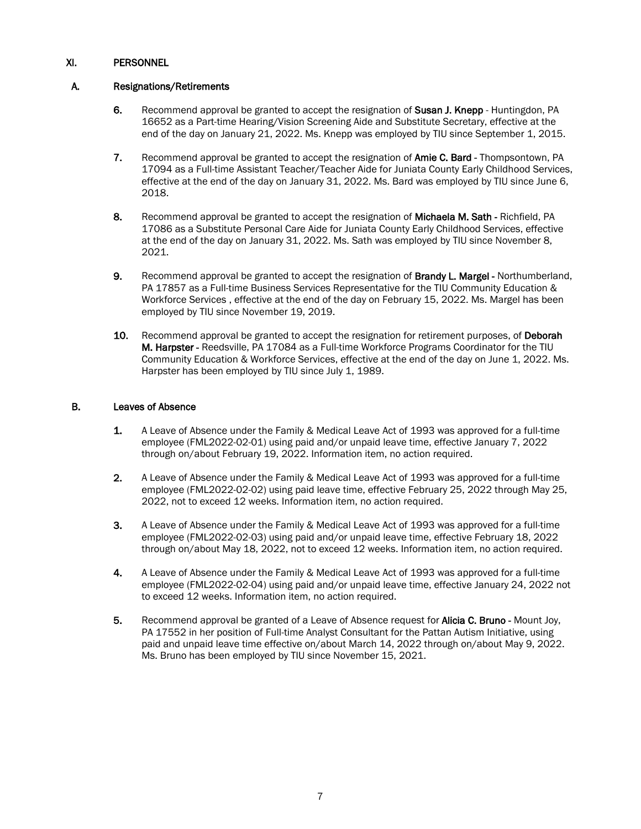### A. Resignations/Retirements

- 6. Recommend approval be granted to accept the resignation of Susan J. Knepp Huntingdon, PA 16652 as a Part-time Hearing/Vision Screening Aide and Substitute Secretary, effective at the end of the day on January 21, 2022. Ms. Knepp was employed by TIU since September 1, 2015.
- 7. Recommend approval be granted to accept the resignation of Amie C. Bard Thompsontown, PA 17094 as a Full-time Assistant Teacher/Teacher Aide for Juniata County Early Childhood Services, effective at the end of the day on January 31, 2022. Ms. Bard was employed by TIU since June 6, 2018.
- 8. Recommend approval be granted to accept the resignation of Michaela M. Sath Richfield, PA 17086 as a Substitute Personal Care Aide for Juniata County Early Childhood Services, effective at the end of the day on January 31, 2022. Ms. Sath was employed by TIU since November 8, 2021.
- 9. Recommend approval be granted to accept the resignation of **Brandy L. Margel** Northumberland, PA 17857 as a Full-time Business Services Representative for the TIU Community Education & Workforce Services , effective at the end of the day on February 15, 2022. Ms. Margel has been employed by TIU since November 19, 2019.
- 10. Recommend approval be granted to accept the resignation for retirement purposes, of Deborah M. Harpster - Reedsville, PA 17084 as a Full-time Workforce Programs Coordinator for the TIU Community Education & Workforce Services, effective at the end of the day on June 1, 2022. Ms. Harpster has been employed by TIU since July 1, 1989.

### B. Leaves of Absence

- 1. A Leave of Absence under the Family & Medical Leave Act of 1993 was approved for a full-time employee (FML2022-02-01) using paid and/or unpaid leave time, effective January 7, 2022 through on/about February 19, 2022. Information item, no action required.
- 2. A Leave of Absence under the Family & Medical Leave Act of 1993 was approved for a full-time employee (FML2022-02-02) using paid leave time, effective February 25, 2022 through May 25, 2022, not to exceed 12 weeks. Information item, no action required.
- 3. A Leave of Absence under the Family & Medical Leave Act of 1993 was approved for a full-time employee (FML2022-02-03) using paid and/or unpaid leave time, effective February 18, 2022 through on/about May 18, 2022, not to exceed 12 weeks. Information item, no action required.
- 4. A Leave of Absence under the Family & Medical Leave Act of 1993 was approved for a full-time employee (FML2022-02-04) using paid and/or unpaid leave time, effective January 24, 2022 not to exceed 12 weeks. Information item, no action required.
- 5. Recommend approval be granted of a Leave of Absence request for **Alicia C. Bruno** Mount Joy, PA 17552 in her position of Full-time Analyst Consultant for the Pattan Autism Initiative, using paid and unpaid leave time effective on/about March 14, 2022 through on/about May 9, 2022. Ms. Bruno has been employed by TIU since November 15, 2021.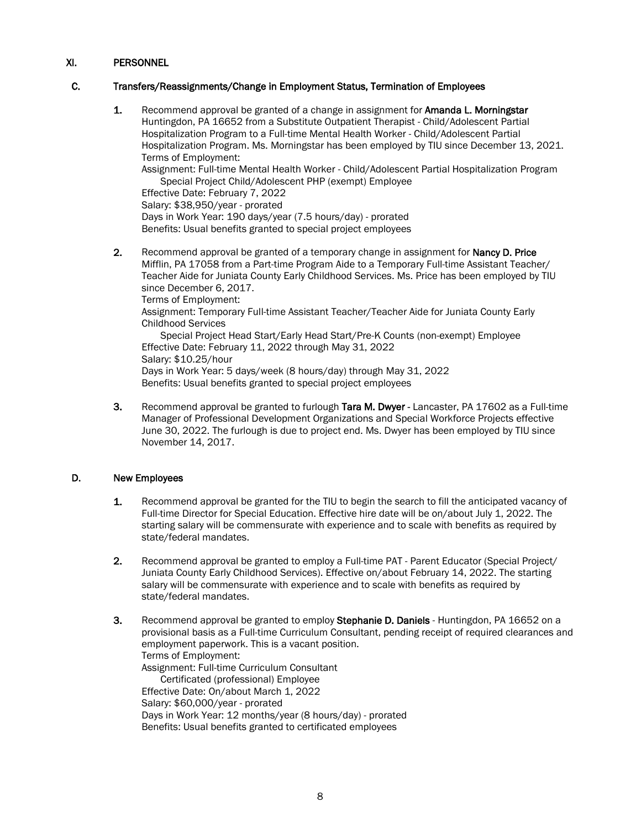### C. Transfers/Reassignments/Change in Employment Status, Termination of Employees

1. Recommend approval be granted of a change in assignment for Amanda L. Morningstar Huntingdon, PA 16652 from a Substitute Outpatient Therapist - Child/Adolescent Partial Hospitalization Program to a Full-time Mental Health Worker - Child/Adolescent Partial Hospitalization Program. Ms. Morningstar has been employed by TIU since December 13, 2021. Terms of Employment:

Assignment: Full-time Mental Health Worker - Child/Adolescent Partial Hospitalization Program Special Project Child/Adolescent PHP (exempt) Employee

Effective Date: February 7, 2022

Salary: \$38,950/year - prorated

Days in Work Year: 190 days/year (7.5 hours/day) - prorated Benefits: Usual benefits granted to special project employees

2. Recommend approval be granted of a temporary change in assignment for **Nancy D. Price** Mifflin, PA 17058 from a Part-time Program Aide to a Temporary Full-time Assistant Teacher/ Teacher Aide for Juniata County Early Childhood Services. Ms. Price has been employed by TIU since December 6, 2017.

Terms of Employment:

Assignment: Temporary Full-time Assistant Teacher/Teacher Aide for Juniata County Early Childhood Services

Special Project Head Start/Early Head Start/Pre-K Counts (non-exempt) Employee Effective Date: February 11, 2022 through May 31, 2022 Salary: \$10.25/hour Days in Work Year: 5 days/week (8 hours/day) through May 31, 2022 Benefits: Usual benefits granted to special project employees

3. Recommend approval be granted to furlough Tara M. Dwyer - Lancaster, PA 17602 as a Full-time Manager of Professional Development Organizations and Special Workforce Projects effective June 30, 2022. The furlough is due to project end. Ms. Dwyer has been employed by TIU since November 14, 2017.

#### D. New Employees

- 1. Recommend approval be granted for the TIU to begin the search to fill the anticipated vacancy of Full-time Director for Special Education. Effective hire date will be on/about July 1, 2022. The starting salary will be commensurate with experience and to scale with benefits as required by state/federal mandates.
- 2. Recommend approval be granted to employ a Full-time PAT Parent Educator (Special Project/ Juniata County Early Childhood Services). Effective on/about February 14, 2022. The starting salary will be commensurate with experience and to scale with benefits as required by state/federal mandates.
- 3. Recommend approval be granted to employ Stephanie D. Daniels Huntingdon, PA 16652 on a provisional basis as a Full-time Curriculum Consultant, pending receipt of required clearances and employment paperwork. This is a vacant position. Terms of Employment: Assignment: Full-time Curriculum Consultant Certificated (professional) Employee Effective Date: On/about March 1, 2022 Salary: \$60,000/year - prorated Days in Work Year: 12 months/year (8 hours/day) - prorated Benefits: Usual benefits granted to certificated employees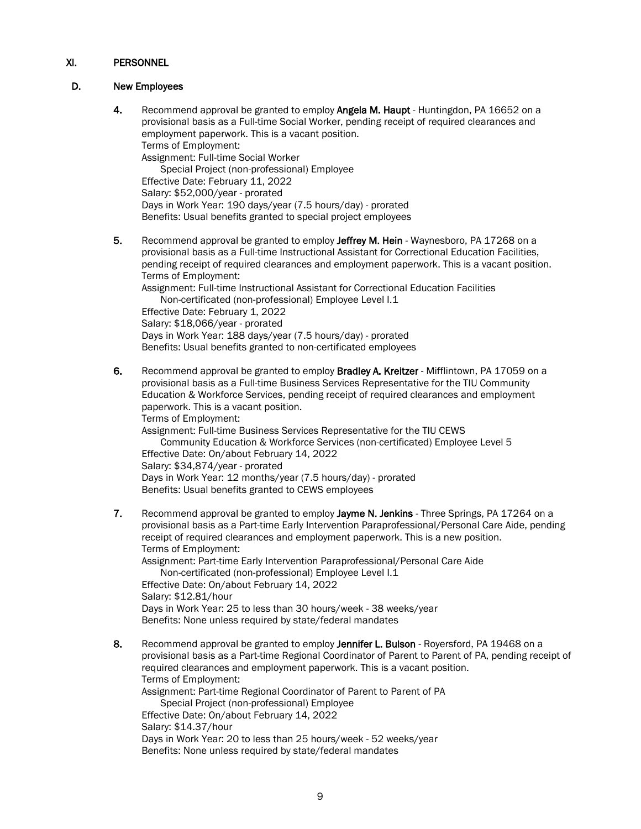### D. New Employees

- 4. Recommend approval be granted to employ Angela M. Haupt Huntingdon, PA 16652 on a provisional basis as a Full-time Social Worker, pending receipt of required clearances and employment paperwork. This is a vacant position. Terms of Employment: Assignment: Full-time Social Worker Special Project (non-professional) Employee Effective Date: February 11, 2022 Salary: \$52,000/year - prorated Days in Work Year: 190 days/year (7.5 hours/day) - prorated Benefits: Usual benefits granted to special project employees
- 5. Recommend approval be granted to employ Jeffrey M. Hein Waynesboro, PA 17268 on a provisional basis as a Full-time Instructional Assistant for Correctional Education Facilities, pending receipt of required clearances and employment paperwork. This is a vacant position. Terms of Employment: Assignment: Full-time Instructional Assistant for Correctional Education Facilities

Non-certificated (non-professional) Employee Level I.1 Effective Date: February 1, 2022 Salary: \$18,066/year - prorated Days in Work Year: 188 days/year (7.5 hours/day) - prorated Benefits: Usual benefits granted to non-certificated employees

6. Recommend approval be granted to employ Bradley A. Kreitzer - Mifflintown, PA 17059 on a provisional basis as a Full-time Business Services Representative for the TIU Community Education & Workforce Services, pending receipt of required clearances and employment paperwork. This is a vacant position. Terms of Employment: Assignment: Full-time Business Services Representative for the TIU CEWS Community Education & Workforce Services (non-certificated) Employee Level 5 Effective Date: On/about February 14, 2022 Salary: \$34,874/year - prorated

Days in Work Year: 12 months/year (7.5 hours/day) - prorated Benefits: Usual benefits granted to CEWS employees

- 7. Recommend approval be granted to employ Jayme N. Jenkins Three Springs, PA 17264 on a provisional basis as a Part-time Early Intervention Paraprofessional/Personal Care Aide, pending receipt of required clearances and employment paperwork. This is a new position. Terms of Employment: Assignment: Part-time Early Intervention Paraprofessional/Personal Care Aide Non-certificated (non-professional) Employee Level I.1 Effective Date: On/about February 14, 2022 Salary: \$12.81/hour Days in Work Year: 25 to less than 30 hours/week - 38 weeks/year Benefits: None unless required by state/federal mandates
- 8. Recommend approval be granted to employ Jennifer L. Bulson Royersford, PA 19468 on a provisional basis as a Part-time Regional Coordinator of Parent to Parent of PA, pending receipt of required clearances and employment paperwork. This is a vacant position. Terms of Employment: Assignment: Part-time Regional Coordinator of Parent to Parent of PA Special Project (non-professional) Employee Effective Date: On/about February 14, 2022 Salary: \$14.37/hour Days in Work Year: 20 to less than 25 hours/week - 52 weeks/year Benefits: None unless required by state/federal mandates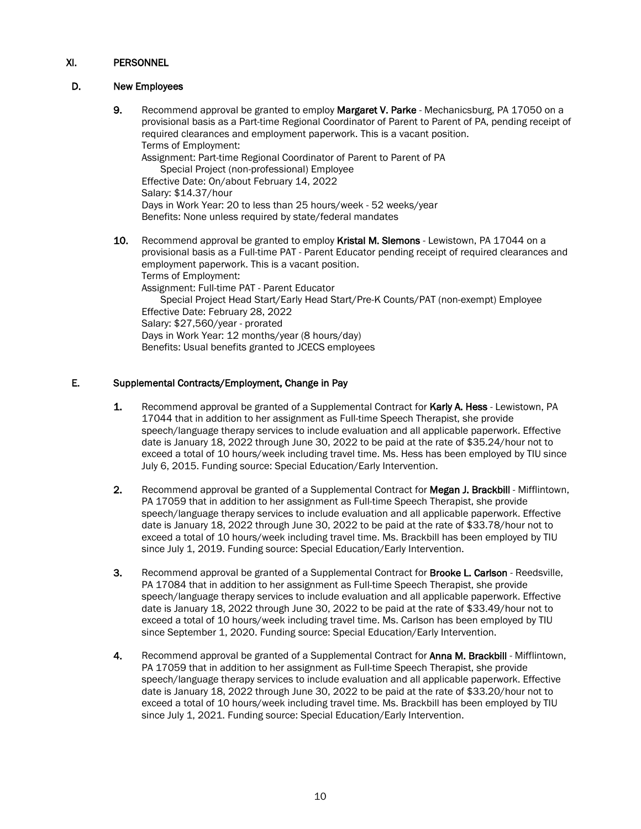## D. New Employees

9. Recommend approval be granted to employ Margaret V. Parke - Mechanicsburg, PA 17050 on a provisional basis as a Part-time Regional Coordinator of Parent to Parent of PA, pending receipt of required clearances and employment paperwork. This is a vacant position. Terms of Employment: Assignment: Part-time Regional Coordinator of Parent to Parent of PA Special Project (non-professional) Employee Effective Date: On/about February 14, 2022 Salary: \$14.37/hour Days in Work Year: 20 to less than 25 hours/week - 52 weeks/year Benefits: None unless required by state/federal mandates 10. Recommend approval be granted to employ Kristal M. Slemons - Lewistown, PA 17044 on a provisional basis as a Full-time PAT - Parent Educator pending receipt of required clearances and employment paperwork. This is a vacant position. Terms of Employment: Assignment: Full-time PAT - Parent Educator Special Project Head Start/Early Head Start/Pre-K Counts/PAT (non-exempt) Employee

Effective Date: February 28, 2022 Salary: \$27,560/year - prorated Days in Work Year: 12 months/year (8 hours/day) Benefits: Usual benefits granted to JCECS employees

## E. Supplemental Contracts/Employment, Change in Pay

- 1. Recommend approval be granted of a Supplemental Contract for Karly A. Hess Lewistown, PA 17044 that in addition to her assignment as Full-time Speech Therapist, she provide speech/language therapy services to include evaluation and all applicable paperwork. Effective date is January 18, 2022 through June 30, 2022 to be paid at the rate of \$35.24/hour not to exceed a total of 10 hours/week including travel time. Ms. Hess has been employed by TIU since July 6, 2015. Funding source: Special Education/Early Intervention.
- 2. Recommend approval be granted of a Supplemental Contract for Megan J. Brackbill Mifflintown, PA 17059 that in addition to her assignment as Full-time Speech Therapist, she provide speech/language therapy services to include evaluation and all applicable paperwork. Effective date is January 18, 2022 through June 30, 2022 to be paid at the rate of \$33.78/hour not to exceed a total of 10 hours/week including travel time. Ms. Brackbill has been employed by TIU since July 1, 2019. Funding source: Special Education/Early Intervention.
- **3.** Recommend approval be granted of a Supplemental Contract for **Brooke L. Carlson** Reedsville, PA 17084 that in addition to her assignment as Full-time Speech Therapist, she provide speech/language therapy services to include evaluation and all applicable paperwork. Effective date is January 18, 2022 through June 30, 2022 to be paid at the rate of \$33.49/hour not to exceed a total of 10 hours/week including travel time. Ms. Carlson has been employed by TIU since September 1, 2020. Funding source: Special Education/Early Intervention.
- 4. Recommend approval be granted of a Supplemental Contract for Anna M. Brackbill Mifflintown, PA 17059 that in addition to her assignment as Full-time Speech Therapist, she provide speech/language therapy services to include evaluation and all applicable paperwork. Effective date is January 18, 2022 through June 30, 2022 to be paid at the rate of \$33.20/hour not to exceed a total of 10 hours/week including travel time. Ms. Brackbill has been employed by TIU since July 1, 2021. Funding source: Special Education/Early Intervention.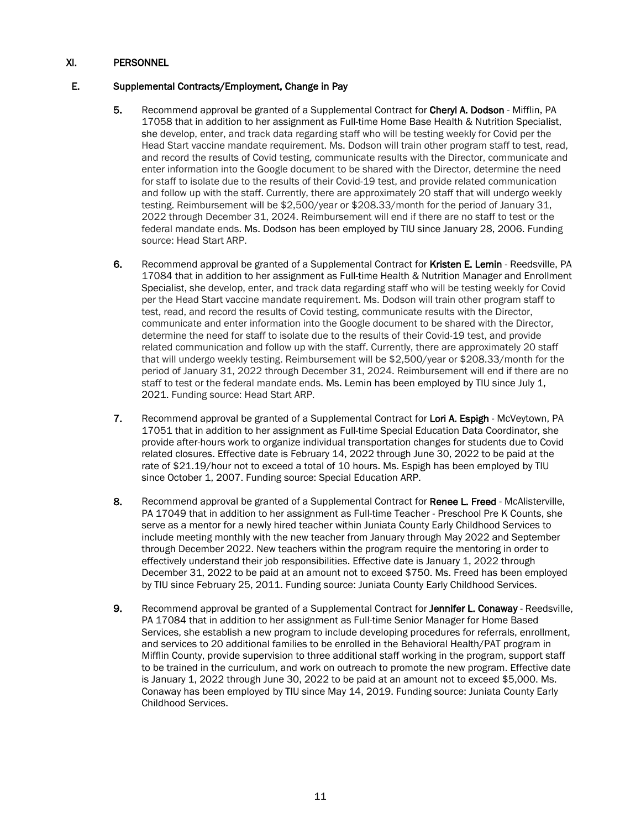### E. Supplemental Contracts/Employment, Change in Pay

- 5. Recommend approval be granted of a Supplemental Contract for Cheryl A. Dodson Mifflin, PA 17058 that in addition to her assignment as Full-time Home Base Health & Nutrition Specialist, she develop, enter, and track data regarding staff who will be testing weekly for Covid per the Head Start vaccine mandate requirement. Ms. Dodson will train other program staff to test, read, and record the results of Covid testing, communicate results with the Director, communicate and enter information into the Google document to be shared with the Director, determine the need for staff to isolate due to the results of their Covid-19 test, and provide related communication and follow up with the staff. Currently, there are approximately 20 staff that will undergo weekly testing. Reimbursement will be \$2,500/year or \$208.33/month for the period of January 31, 2022 through December 31, 2024. Reimbursement will end if there are no staff to test or the federal mandate ends. Ms. Dodson has been employed by TIU since January 28, 2006. Funding source: Head Start ARP.
- 6. Recommend approval be granted of a Supplemental Contract for Kristen E. Lemin Reedsville, PA 17084 that in addition to her assignment as Full-time Health & Nutrition Manager and Enrollment Specialist, she develop, enter, and track data regarding staff who will be testing weekly for Covid per the Head Start vaccine mandate requirement. Ms. Dodson will train other program staff to test, read, and record the results of Covid testing, communicate results with the Director, communicate and enter information into the Google document to be shared with the Director, determine the need for staff to isolate due to the results of their Covid-19 test, and provide related communication and follow up with the staff. Currently, there are approximately 20 staff that will undergo weekly testing. Reimbursement will be \$2,500/year or \$208.33/month for the period of January 31, 2022 through December 31, 2024. Reimbursement will end if there are no staff to test or the federal mandate ends. Ms. Lemin has been employed by TIU since July 1, 2021. Funding source: Head Start ARP.
- 7. Recommend approval be granted of a Supplemental Contract for Lori A. Espigh McVeytown, PA 17051 that in addition to her assignment as Full-time Special Education Data Coordinator, she provide after-hours work to organize individual transportation changes for students due to Covid related closures. Effective date is February 14, 2022 through June 30, 2022 to be paid at the rate of \$21.19/hour not to exceed a total of 10 hours. Ms. Espigh has been employed by TIU since October 1, 2007. Funding source: Special Education ARP.
- 8. Recommend approval be granted of a Supplemental Contract for Renee L. Freed McAlisterville, PA 17049 that in addition to her assignment as Full-time Teacher - Preschool Pre K Counts, she serve as a mentor for a newly hired teacher within Juniata County Early Childhood Services to include meeting monthly with the new teacher from January through May 2022 and September through December 2022. New teachers within the program require the mentoring in order to effectively understand their job responsibilities. Effective date is January 1, 2022 through December 31, 2022 to be paid at an amount not to exceed \$750. Ms. Freed has been employed by TIU since February 25, 2011. Funding source: Juniata County Early Childhood Services.
- 9. Recommend approval be granted of a Supplemental Contract for Jennifer L. Conaway Reedsville, PA 17084 that in addition to her assignment as Full-time Senior Manager for Home Based Services, she establish a new program to include developing procedures for referrals, enrollment, and services to 20 additional families to be enrolled in the Behavioral Health/PAT program in Mifflin County, provide supervision to three additional staff working in the program, support staff to be trained in the curriculum, and work on outreach to promote the new program. Effective date is January 1, 2022 through June 30, 2022 to be paid at an amount not to exceed \$5,000. Ms. Conaway has been employed by TIU since May 14, 2019. Funding source: Juniata County Early Childhood Services.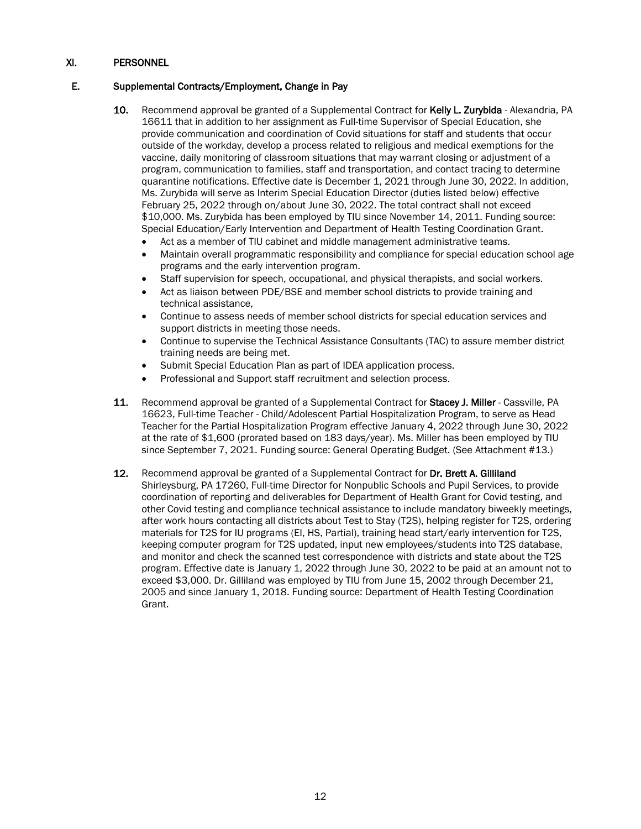## E. Supplemental Contracts/Employment, Change in Pay

- 10. Recommend approval be granted of a Supplemental Contract for Kelly L. Zurybida Alexandria, PA 16611 that in addition to her assignment as Full-time Supervisor of Special Education, she provide communication and coordination of Covid situations for staff and students that occur outside of the workday, develop a process related to religious and medical exemptions for the vaccine, daily monitoring of classroom situations that may warrant closing or adjustment of a program, communication to families, staff and transportation, and contact tracing to determine quarantine notifications. Effective date is December 1, 2021 through June 30, 2022. In addition, Ms. Zurybida will serve as Interim Special Education Director (duties listed below) effective February 25, 2022 through on/about June 30, 2022. The total contract shall not exceed \$10,000. Ms. Zurybida has been employed by TIU since November 14, 2011. Funding source: Special Education/Early Intervention and Department of Health Testing Coordination Grant.
	- Act as a member of TIU cabinet and middle management administrative teams.
	- Maintain overall programmatic responsibility and compliance for special education school age programs and the early intervention program.
	- Staff supervision for speech, occupational, and physical therapists, and social workers.
	- Act as liaison between PDE/BSE and member school districts to provide training and technical assistance,
	- Continue to assess needs of member school districts for special education services and support districts in meeting those needs.
	- Continue to supervise the Technical Assistance Consultants (TAC) to assure member district training needs are being met.
	- Submit Special Education Plan as part of IDEA application process.
	- Professional and Support staff recruitment and selection process.
- 11. Recommend approval be granted of a Supplemental Contract for Stacey J. Miller Cassville, PA 16623, Full-time Teacher - Child/Adolescent Partial Hospitalization Program, to serve as Head Teacher for the Partial Hospitalization Program effective January 4, 2022 through June 30, 2022 at the rate of \$1,600 (prorated based on 183 days/year). Ms. Miller has been employed by TIU since September 7, 2021. Funding source: General Operating Budget. (See Attachment #13.)
- 12. Recommend approval be granted of a Supplemental Contract for Dr. Brett A. Gilliland Shirleysburg, PA 17260, Full-time Director for Nonpublic Schools and Pupil Services, to provide coordination of reporting and deliverables for Department of Health Grant for Covid testing, and other Covid testing and compliance technical assistance to include mandatory biweekly meetings, after work hours contacting all districts about Test to Stay (T2S), helping register for T2S, ordering materials for T2S for IU programs (EI, HS, Partial), training head start/early intervention for T2S, keeping computer program for T2S updated, input new employees/students into T2S database, and monitor and check the scanned test correspondence with districts and state about the T2S program. Effective date is January 1, 2022 through June 30, 2022 to be paid at an amount not to exceed \$3,000. Dr. Gilliland was employed by TIU from June 15, 2002 through December 21, 2005 and since January 1, 2018. Funding source: Department of Health Testing Coordination Grant.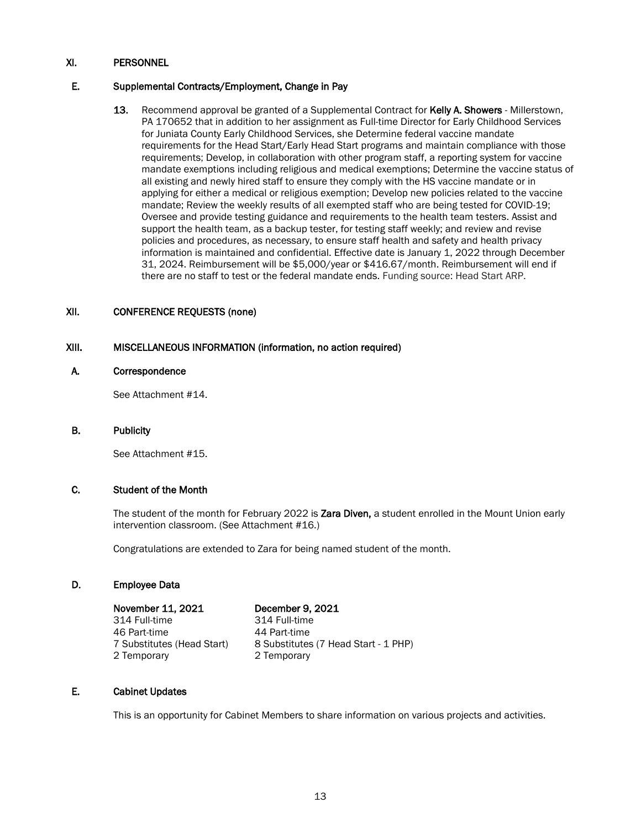### E. Supplemental Contracts/Employment, Change in Pay

13. Recommend approval be granted of a Supplemental Contract for Kelly A. Showers - Millerstown, PA 170652 that in addition to her assignment as Full-time Director for Early Childhood Services for Juniata County Early Childhood Services, she Determine federal vaccine mandate requirements for the Head Start/Early Head Start programs and maintain compliance with those requirements; Develop, in collaboration with other program staff, a reporting system for vaccine mandate exemptions including religious and medical exemptions; Determine the vaccine status of all existing and newly hired staff to ensure they comply with the HS vaccine mandate or in applying for either a medical or religious exemption; Develop new policies related to the vaccine mandate; Review the weekly results of all exempted staff who are being tested for COVID-19; Oversee and provide testing guidance and requirements to the health team testers. Assist and support the health team, as a backup tester, for testing staff weekly; and review and revise policies and procedures, as necessary, to ensure staff health and safety and health privacy information is maintained and confidential. Effective date is January 1, 2022 through December 31, 2024. Reimbursement will be \$5,000/year or \$416.67/month. Reimbursement will end if there are no staff to test or the federal mandate ends. Funding source: Head Start ARP.

### XII. CONFERENCE REQUESTS (none)

### XIII. MISCELLANEOUS INFORMATION (information, no action required)

#### A. Correspondence

See Attachment #14.

#### B. Publicity

See Attachment #15.

## C. Student of the Month

The student of the month for February 2022 is Zara Diven, a student enrolled in the Mount Union early intervention classroom. (See Attachment #16.)

Congratulations are extended to Zara for being named student of the month.

#### D. Employee Data

 November 11, 2021 December 9, 2021 314 Full-time 314 Full-time 46 Part-time 44 Part-time<br>7 Substitutes (Head Start) 8 Substitutes 2 Temporary 2 Temporary

8 Substitutes (7 Head Start - 1 PHP)<br>2 Temporary

#### E. Cabinet Updates

This is an opportunity for Cabinet Members to share information on various projects and activities.